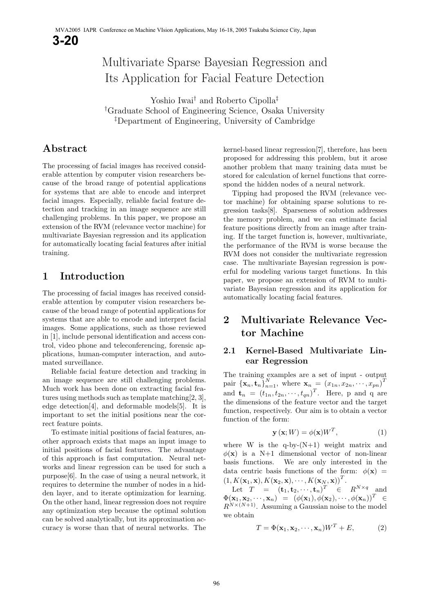# Multivariate Sparse Bayesian Regression and Its Application for Facial Feature Detection

Yoshio Iwai*†* and Roberto Cipolla*‡ †* Graduate School of Engineering Science, Osaka University *‡* Department of Engineering, University of Cambridge

## **Abstract**

The processing of facial images has received considerable attention by computer vision researchers because of the broad range of potential applications for systems that are able to encode and interpret facial images. Especially, reliable facial feature detection and tracking in an image sequence are still challenging problems. In this paper, we propose an extension of the RVM (relevance vector machine) for multivariate Bayesian regression and its application for automatically locating facial features after initial training. training.

## **1 Introduction**

The processing of facial images has received considerable attention by computer vision researchers because of the broad range of potential applications for systems that are able to encode and interpret facial images. Some applications, such as those reviewed in  $[1]$ , include personal identification and access control, video phone and teleconferencing, forensic applications, human-computer interaction, and automated surveillance.

Reliable facial feature detection and tracking in an image sequence are still challenging problems. Much work has been done on extracting facial features using methods such as template matching  $[2, 3]$ , edge detection [4], and deformable models [5]. It is important to set the initial positions near the correct feature points.

To estimate initial positions of facial features, another approach exists that maps an input image to initial positions of facial features. The advantage of this approach is fast computation. Neural networks and linear regression can be used for such a  $purpose[6]$ . In the case of using a neural network, it requires to determine the number of nodes in a hidden layer, and to iterate optimization for learning. On the other hand, linear regression does not require. any optimization step because the optimal solution can be solved analytically, but its approximation accan be solved analytically, but its approximation at curacy is worse than that of neural networks. The

kernel-based linear regression[7], therefore, has been<br>proposed for addressing this problem, but it arose another problem that many training data must be stored for calculation of kernel functions that correspond the hidden nodes of a neural network.

Tipping had proposed the RVM (relevance vector machine) for obtaining sparse solutions to regression tasks [8]. Sparseness of solution addresses the memory problem, and we can estimate facial feature positions directly from an image after training. If the target function is, however, multivariate, the performance of the RVM is worse because the RVM does not consider the multivariate regression case. The multivariate Bayesian regression is powerful for modeling various target functions. In this paper, we propose an extension of RVM to multivariate Bayesian regression and its application for  $\frac{1}{\sqrt{2}}$  and  $\frac{1}{\sqrt{2}}$  and  $\frac{1}{\sqrt{2}}$  and  $\frac{1}{\sqrt{2}}$  and  $\frac{1}{\sqrt{2}}$  and  $\frac{1}{\sqrt{2}}$  and  $\frac{1}{\sqrt{2}}$  and  $\frac{1}{\sqrt{2}}$  and  $\frac{1}{\sqrt{2}}$  and  $\frac{1}{\sqrt{2}}$  and  $\frac{1}{\sqrt{2}}$  and  $\frac{1}{\sqrt{2}}$  and  $\frac{1}{\sqrt{2}}$  and automatically locating facial features.

## **2 Multivariate Relevance Vector Machine**

#### **2.1 Kernel-Based Multivariate Linear Regression**

pair  ${\mathbf{x}_n, \mathbf{t}_n}_{n=1}^N$ , where  $\mathbf{x}_n = (x_{1n}, x_{2n}, \dots, x_{pn})^T$ and  $\mathbf{t}_n = (t_{1n}, t_{2n}, \cdots, t_{qn})^T$ <br>the dimensions of the feature the dimensions of the feature vector and the target function, respectively. Our aim is to obtain a vector function of the form:

$$
\mathbf{y}(\mathbf{x};W) = \phi(\mathbf{x})W^{T},\tag{1}
$$

 $\phi(\mathbf{x})$  is a N+1 dimensional vector of non-linear<br>basis functions. We are only interested in the data centric basis functions of the form:  $\phi(\mathbf{x}) =$ <br> $\frac{d}{dx} \left( \mathbf{x} \cdot \mathbf{x} \right) \cdot \frac{K(\mathbf{x} \cdot \mathbf{x})^T}{(x - \mathbf{x})^T}$  $\left(1, K(\mathbf{x}_1, \mathbf{x}), K(\mathbf{x}_2, \mathbf{x}), \cdots, K(\mathbf{x}_N, \mathbf{x})\right)^T$ .<br>Let  $T = \left(\mathbf{t}_1, \mathbf{t}_2, \cdots, \mathbf{t}_N\right)^T \in$ 

Let  $T = (\mathbf{t}_1, \mathbf{t}_2, \cdots, \mathbf{t}_n)^T \in R^{N \times q}$  and<br> $\mathbf{v}_1 \mathbf{v}_2 \cdots \mathbf{v}_n = (d(\mathbf{v}_1), d(\mathbf{v}_2), \cdots, d(\mathbf{v}_n))^T \in$  $\Phi(\mathbf{x}_1, \mathbf{x}_2, \cdots, \mathbf{x}_n) = (\phi(\mathbf{x}_1), \phi(\mathbf{x}_2), \cdots, \phi(\mathbf{x}_n))^T \in$  $R^{N \times (N+1)}$ . Assuming a Gaussian noise to the model<br>we obtain

$$
T = \Phi(\mathbf{x}_1, \mathbf{x}_2, \cdots, \mathbf{x}_n) W^T + E,
$$
 (2)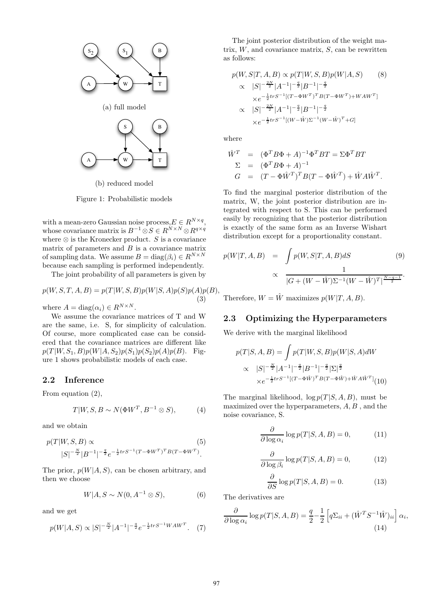

(b) reduced model

Figure 1: Probabilistic models

with a mean-zero Gaussian noise process,  $E \in R^{N \times q}$ , whose covariance matrix is  $B^{-1} \otimes S \in R^{N \times N} \otimes R^{q \times q}$ where  $\otimes$  is the Kronecker product. S is a covariance matrix of parameters and  $B$  is a covariance matrix of sampling data. We assume  $B = \text{diag}(\beta_i) \in R^{N \times N}$ <br>because each sampling is performed independently.

 $\begin{bmatrix} 1 & 0 & 0 \\ 0 & 1 & 0 \end{bmatrix}$  is performed in the performance in the performance in the performance is performed in the performance in the performance in the performance of  $\frac{1}{2}$  $\mathbf{y}$  is probability of all parameters is given by

$$
p(W, S, T, A, B) = p(T|W, S, B)p(W|S, A)p(S)p(A)p(B),
$$
  
(3)

where  $A = \text{diag}(\alpha_i) \in R^{N \times N}$ .<br>We assume the covariance matrices of T and W are the same, i.e. S, for simplicity of calculation. Of course, more complicated case can be considered that the covariance matrices are different like  $p(T | W, S_1, B) p(W | A, S_2) p(S_1) p(S_2) p(A) p(B)$ . Figure 1 shows probabilistic models of each case.

#### **2.2 Inference**

From equation (2),

$$
T|W, S, B \sim N(\Phi W^T, B^{-1} \otimes S), \tag{4}
$$

and we obtain

$$
p(T|W, S, B) \propto (5)
$$
  

$$
|S|^{-\frac{N}{2}} |B^{-1}|^{-\frac{q}{2}} e^{-\frac{1}{2} tr S^{-1} (T - \Phi W^T)^T B (T - \Phi W^T)}.
$$

The prior,  $p(W|A, S)$ , can be chosen arbitrary, and then we choose

$$
W|A, S \sim N(0, A^{-1} \otimes S), \tag{6}
$$

and we get

$$
p(W|A,S) \propto |S|^{-\frac{N}{2}} |A^{-1}|^{-\frac{q}{2}} e^{-\frac{1}{2} tr S^{-1} W A W^{T}}.
$$
 (7)

trix,  $W$ , and covariance matrix,  $S$ , can be rewritten

$$
p(W, S|T, A, B) \propto p(T|W, S, B)p(W|A, S)
$$
\n
$$
\propto |S|^{-\frac{2N}{2}} |A^{-1}|^{-\frac{q}{2}} |B^{-1}|^{-\frac{q}{2}}
$$
\n
$$
\times e^{-\frac{1}{2}trS^{-1}[(T - \Phi W^T)^T B (T - \Phi W^T) + W A W^T]}
$$
\n
$$
\propto |S|^{-\frac{2N}{2}} |A^{-1}|^{-\frac{q}{2}} |B^{-1}|^{-\frac{q}{2}}
$$
\n
$$
\times e^{-\frac{1}{2}trS^{-1}[(W - \hat{W})\Sigma^{-1}(W - \hat{W})^T + G]}
$$

$$
\hat{W}^T = (\Phi^T B \Phi + A)^{-1} \Phi^T B T = \Sigma \Phi^T B T
$$
  
\n
$$
\Sigma = (\Phi^T B \Phi + A)^{-1}
$$
  
\n
$$
G = (T - \Phi \hat{W}^T)^T B (T - \Phi \hat{W}^T) + \hat{W} A \hat{W}^T.
$$

To find the marginal posterior distribution of the tegrated with respect to S. This can be performed easily by recognizing that the posterior distribution is exactly of the same form as an Inverse Wishart distribution except for a proportionality constant. distribution except for a proportion  $\mathbf{r}$  and  $\mathbf{r}$  and  $\mathbf{r}$  are constant.

$$
p(W|T, A, B) = \int p(W, S|T, A, B) dS
$$
(9)  

$$
\propto \frac{1}{|G + (W - \hat{W})\Sigma^{-1}(W - \hat{W})^T|^{\frac{N-q-1}{2}}}.
$$

Therefore,  $W = \hat{W}$  maximizes  $p(W|T, A, B)$ .

#### **2.3 Optimizing the Hyperparameters**

We derive with the marginal likelihood

$$
p(T|S, A, B) = \int p(T|W, S, B)p(W|S, A)dW
$$
  
 
$$
\propto |S|^{-\frac{N}{2}}|A^{-1}|^{-\frac{q}{2}}|B^{-1}|^{-\frac{q}{2}}|\Sigma|^{\frac{q}{2}}
$$
  
 
$$
\times e^{-\frac{1}{2}trS^{-1}[(T-\Phi\hat{W})^T B(T-\Phi\hat{W}) + \hat{W}A\hat{W}^T]}(10)
$$

The marginal likelihood,  $\log p(T | S, A, B)$ , must be maximized over the hyperparameters,  $A, B$ , and the noise covariance, S.

$$
\frac{\partial}{\partial \log \alpha_i} \log p(T|S, A, B) = 0,\tag{11}
$$

$$
\frac{\partial}{\partial \log \beta_i} \log p(T|S, A, B) = 0,\tag{12}
$$

$$
\frac{\partial}{\partial S} \log p(T|S, A, B) = 0. \tag{13}
$$

$$
\frac{\partial}{\partial \log \alpha_i} \log p(T|S, A, B) = \frac{q}{2} - \frac{1}{2} \left[ q \Sigma_{ii} + (\hat{W}^T S^{-1} \hat{W})_{ii} \right] \alpha_i,
$$
\n(14)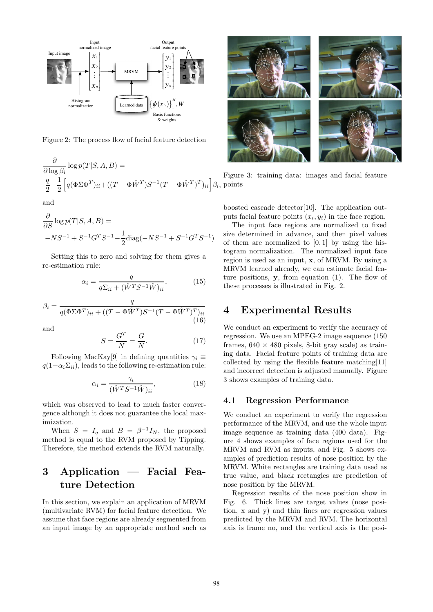

Figure 2: The process flow of facial feature detection

$$
\frac{\partial}{\partial \log \beta_i} \log p(T|S, A, B) =
$$
\n
$$
\frac{q}{2} - \frac{1}{2} \left[ q(\Phi \Sigma \Phi^T)_{ii} + ((T - \Phi \hat{W}^T)S^{-1}(T - \Phi \hat{W}^T)_{ii} \right] \beta_i,
$$
\nand

$$
\frac{\partial}{\partial S} \log p(T|S, A, B) =
$$
  
-NS<sup>-1</sup> + S<sup>-1</sup>G<sup>T</sup>S<sup>-1</sup> -  $\frac{1}{2}$ diag(-NS<sup>-1</sup> + S<sup>-1</sup>G<sup>T</sup>S<sup>-1</sup>)

Setting this to zero and solving for them gives a re-estimation rule:

$$
\alpha_i = \frac{q}{q\Sigma_{ii} + (\hat{W}^T S^{-1} \hat{W})_{ii}},\tag{15}
$$

$$
\beta_i = \frac{q}{q(\Phi \Sigma \Phi^T)_{ii} + ((T - \Phi \hat{W}^T)S^{-1}(T - \Phi \hat{W}^T)^T)_{ii}} \tag{16}
$$

and

$$
S = \frac{G^T}{N} = \frac{G}{N}.\tag{17}
$$

Following MacKay<sup>[9]</sup> in defining quantities  $\gamma_i \equiv$  $q(1-\alpha_i\Sigma_{ii})$ , leads to the following re-estimation rule:

$$
\alpha_i = \frac{\gamma_i}{(\hat{W}^T S^{-1} \hat{W})_{ii}},\tag{18}
$$

where  $\frac{1}{2}$  was observed to read to match result for  $\frac{1}{2}$ gence although it also not guarantee the local max-<br>imization

When  $S = I_q$  and  $B = \beta^{-1}I_N$ , the proposed<br>method is equal to the BVM proposed by Tipping method is equal to the revels proposed by  $\sim$  ppmg.<br>Therefore, the method extends the RVM paturally. Therefore, the method extends the RVM naturally.

## **3 Application — Facial Feature Detection**

In this section, we explain an application of MRVM<br>(multivariate RVM) for facial feature detection. We assume that face regions are already segmented from assume that face regions are already segmented from and image by an appropriate method such as  $\mathbf{r}$ 



 $F_{\rm g}$  and  $F_{\rm g}$  and  $F_{\rm g}$  from facial feature points

puts facial feature points  $(x_i, y_i)$  in the face region.<br>The input face regions are pormalized to fixed

The input face regions are normalized to fixed size determined in advance, and then pixel values of them are normalized to  $[0,1]$  by using the his-<br>torram pormalization. The pormalized input face region is used as an input, **x**, of MRVM. By using a<br>MRVM learned already, we can estimate facial feature positions, **y**, from equation (1). The flow of these processes is illustrated in Fig. 2 these processes is illustrated in Fig. 2.

#### **4 Experimental Results**

We conduct an experiment to verify the accuracy of regression. We use an MPEG-2 image sequence (150) frames,  $640 \times 480$  pixels, 8-bit gray scale) as training data. Facial feature points of training data are collected by using the flexible feature matching  $[11]$ and incorrect detection is adjusted manually. Figure 3 shows examples of training data. 3 shows examples of training data.

#### **4.1 Regression Performance**

We conduct an experiment to verify the regression<br>performance of the MRVM, and use the whole input image sequence as training data  $(400 \text{ data})$ . Figure 4 shows examples of face regions used for the  $MRVM$  and  $RWM$  as inputs, and Fig. 5 shows examples of prediction results of nose position by the MRVM. White rectangles are training data used as true value, and black rectangles are prediction of nose position by the MRVM.

Regression results of the nose position show in Fig. 6. Thick lines are target values (nose posi- $\chi$  and  $\chi$ ) and thin lines are regression values predicted by the MRVM and RVM. The horizontal predicted by the matrice and reveal axis is the nosiaxis is frame no, and the vertical axis is the vertical axis is the posi-